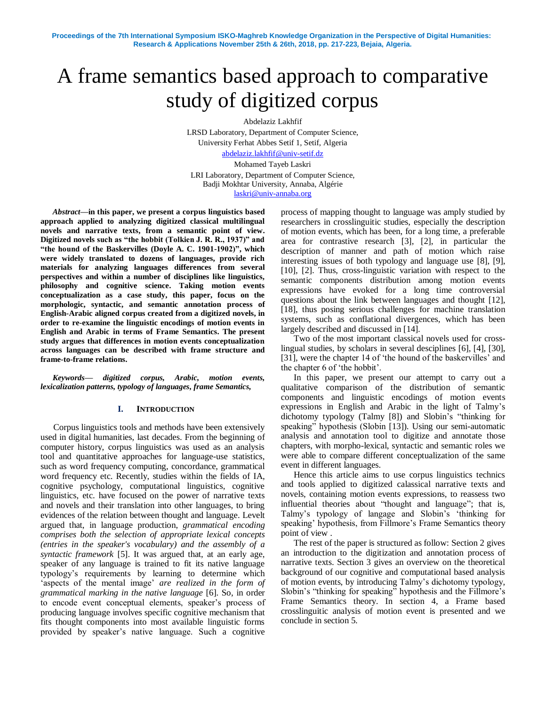# A frame semantics based approach to comparative study of digitized corpus

Abdelaziz Lakhfif

LRSD Laboratory, Department of Computer Science, University Ferhat Abbes Setif 1, Setif, Algeria [abdelaziz.lakhfif@univ-setif.dz](mailto:abdelaziz.lakhfif@univ-setif.dz)

Mohamed Tayeb Laskri

LRI Laboratory, Department of Computer Science, Badji Mokhtar University, Annaba, Algérie [laskri@univ-annaba.org](mailto:laskri@univ-annaba.org)

*Abstract***—in this paper, we present a corpus linguistics based approach applied to analyzing digitized classical multilingual novels and narrative texts, from a semantic point of view. Digitized novels such as "the hobbit (Tolkien J. R. R., 1937)" and "the hound of the Baskervilles (Doyle A. C. 1901-1902)", which were widely translated to dozens of languages, provide rich materials for analyzing languages differences from several perspectives and within a number of disciplines like linguistics, philosophy and cognitive science. Taking motion events conceptualization as a case study, this paper, focus on the morphologic, syntactic, and semantic annotation process of English-Arabic aligned corpus created from a digitized novels, in order to re-examine the linguistic encodings of motion events in English and Arabic in terms of Frame Semantics. The present study argues that differences in motion events conceptualization across languages can be described with frame structure and frame-to-frame relations.**

*Keywords— digitized corpus, Arabic, motion events, lexicalization patterns, typology of languages, frame Semantics,*

### **I. INTRODUCTION**

Corpus linguistics tools and methods have been extensively used in digital humanities, last decades. From the beginning of computer history, corpus linguistics was used as an analysis tool and quantitative approaches for language-use statistics, such as word frequency computing, concordance, grammatical word frequency etc. Recently, studies within the fields of IA, cognitive psychology, computational linguistics, cognitive linguistics, etc. have focused on the power of narrative texts and novels and their translation into other languages, to bring evidences of the relation between thought and language. Levelt argued that, in language production, *grammatical encoding comprises both the selection of appropriate lexical concepts (entries in the speaker's vocabulary) and the assembly of a syntactic framework* [5]. It was argued that, at an early age, speaker of any language is trained to fit its native language typology"s requirements by learning to determine which 'aspects of the mental image' are realized in the form of *grammatical marking in the native language* [6]. So, in order to encode event conceptual elements, speaker"s process of producing language involves specific cognitive mechanism that fits thought components into most available linguistic forms provided by speaker"s native language. Such a cognitive

process of mapping thought to language was amply studied by researchers in crosslinguitic studies, especially the description of motion events, which has been, for a long time, a preferable area for contrastive research [3], [2], in particular the description of manner and path of motion which raise interesting issues of both typology and language use [8], [9], [10], [2]. Thus, cross-linguistic variation with respect to the semantic components distribution among motion events expressions have evoked for a long time controversial questions about the link between languages and thought [12], [18], thus posing serious challenges for machine translation systems, such as conflational divergences, which has been largely described and discussed in [14].

Two of the most important classical novels used for crosslingual studies, by scholars in several desciplines [6], [4], [30], [31], were the chapter 14 of 'the hound of the baskervilles' and the chapter 6 of "the hobbit".

In this paper, we present our attempt to carry out a qualitative comparison of the distribution of semantic components and linguistic encodings of motion events expressions in English and Arabic in the light of Talmy"s dichotomy typology (Talmy [8]) and Slobin"s "thinking for speaking" hypothesis (Slobin [13]). Using our semi-automatic analysis and annotation tool to digitize and annotate those chapters, with morpho-lexical, syntactic and semantic roles we were able to compare different conceptualization of the same event in different languages.

Hence this article aims to use corpus linguistics technics and tools applied to digitized calassical narrative texts and novels, containing motion events expressions, to reassess two influential theories about "thought and language"; that is, Talmy"s typology of langage and Slobin"s "thinking for speaking' hypothesis, from Fillmore's Frame Semantics theory point of view .

The rest of the paper is structured as follow: Section 2 gives an introduction to the digitization and annotation process of narrative texts. Section 3 gives an overview on the theoretical background of our cognitive and computational based analysis of motion events, by introducing Talmy"s dichotomy typology, Slobin"s "thinking for speaking" hypothesis and the Fillmore"s Frame Semantics theory. In section 4, a Frame based crosslinguitic analysis of motion event is presented and we conclude in section 5.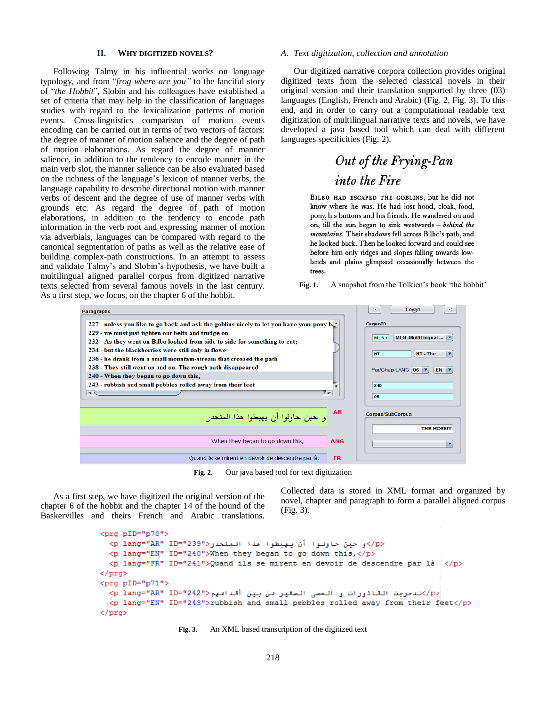#### **II. WHY DIGITIZED NOVELS?**

Following Talmy in his influential works on language typology, and from "*frog where are you"* to the fanciful story of "*the Hobbit*", Slobin and his colleagues have established a set of criteria that may help in the classification of languages studies with regard to the lexicalization patterns of motion events. Cross-linguistics comparison of motion events encoding can be carried out in terms of two vectors of factors: the degree of manner of motion salience and the degree of path of motion elaborations. As regard the degree of manner salience, in addition to the tendency to encode manner in the main verb slot, the manner salience can be also evaluated based on the richness of the language"s lexicon of manner verbs, the language capability to describe directional motion with manner verbs of descent and the degree of use of manner verbs with grounds etc. As regard the degree of path of motion elaborations, in addition to the tendency to encode path information in the verb root and expressing manner of motion via adverbials, languages can be compared with regard to the canonical segmentation of paths as well as the relative ease of building complex-path constructions. In an attempt to assess and validate Talmy"s and Slobin"s hypothesis, we have built a multilingual aligned parallel corpus from digitized narrative texts selected from several famous novels in the last century. As a first step, we focus, on the chapter 6 of the hobbit.

#### *A. Text digitization, collection and annotation*

Our digitized narrative corpora collection provides original digitized texts from the selected classical novels in their original version and their translation supported by three (03) languages (English, French and Arabic) (Fig. 2, Fig. 3). To this end, and in order to carry out a computational readable text digitization of multilingual narrative texts and novels, we have developed a java based tool which can deal with different languages specificities (Fig. 2).

# Out of the Frying-Pan into the Fire

BILBO HAD ESCAPED THE GOBLINS, but he did not know where he was. He had lost hood, cloak, food, pony, his buttons and his friends. He wandered on and on, till the sun began to sink westwards - behind the mountains. Their shadows fell across Bilbo's path, and he looked back. Then he looked forward and could see before him only ridges and slopes falling towards lowlands and plains glimpsed occasionally between the trees.

Fig. 1. A snapshot from the Tolkien's book 'the hobbit'



**Fig. 2.** Our java based tool for text digitization

As a first step, we have digitized the original version of the chapter 6 of the hobbit and the chapter 14 of the hound of the Baskervilles and theirs French and Arabic translations. Collected data is stored in XML format and organized by novel, chapter and paragraph to form a parallel aligned corpus (Fig. 3).

```
<prg pID="p70">
  <p lang="AR" ID="239"> حين حاولوا أن يهبطوا مذا المنحدر<rp lang="AR" ID="239">
  <p lang="EN" ID="240">When they began to go down this,</p>
  <p lang="FR" ID="241">Quand ils se mirent en devoir de descendre par là </p>
\langle/prg>
<prg pID="p71">
  <p lang="AR" ID="242">من الصغير من بين أقدامهم<p lang="AR" ID="242">
  <p lang="EN" ID="243">rubbish and small pebbles rolled away from their feet</p>
\langle/prg>
```
**Fig. 3.** An XML based transcription of the digitized text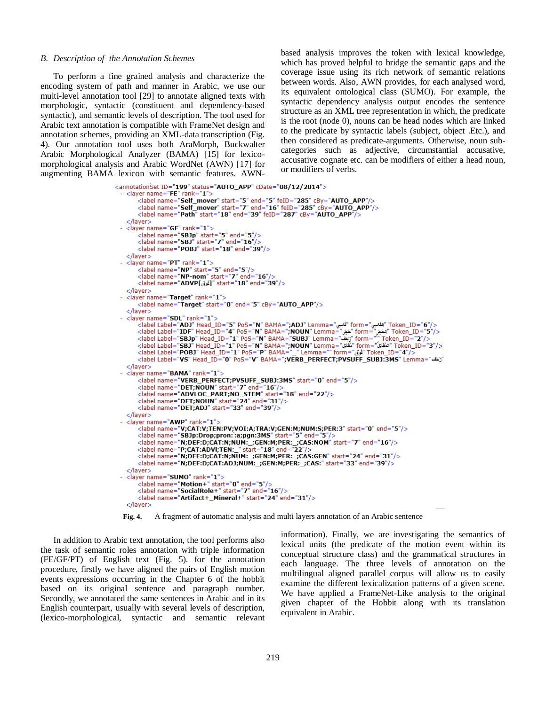#### *B. Description of the Annotation Schemes*

To perform a fine grained analysis and characterize the encoding system of path and manner in Arabic, we use our multi-level annotation tool [29] to annotate aligned texts with morphologic, syntactic (constituent and dependency-based syntactic), and semantic levels of description. The tool used for Arabic text annotation is compatible with FrameNet design and annotation schemes, providing an XML-data transcription (Fig. 4). Our annotation tool uses both AraMorph, Buckwalter Arabic Morphological Analyzer (BAMA) [15] for lexicomorphological analysis and Arabic WordNet (AWN) [17] for augmenting BAMA lexicon with semantic features. AWN-

based analysis improves the token with lexical knowledge, which has proved helpful to bridge the semantic gaps and the coverage issue using its rich network of semantic relations between words. Also, AWN provides, for each analysed word, its equivalent ontological class (SUMO). For example, the syntactic dependency analysis output encodes the sentence structure as an XML tree representation in which, the predicate is the root (node 0), nouns can be head nodes which are linked to the predicate by syntactic labels (subject, object .Etc.), and then considered as predicate-arguments. Otherwise, noun subcategories such as adjective, circumstantial accusative, accusative cognate etc. can be modifiers of either a head noun, or modifiers of verbs.

```
<annotationSet ID="199" status="AUTO_APP" cDate="08/12/2014">
   <label name="self_mover" start="7" end="16" feID="285" cBy="AUTO_APP"/><br><label name="self_mover" start="7" end="16" feID="285" cBy="AUTO_APP"/>
     </laver>
    <layer name="GF" rank="1">
         |<br>| clabel name="SBJp" start="5" end="5"/><br>| clabel name="SBJ" start="7" end="16"/>
         <label name="POBJ" start="18" end="39"/>
     </layer>
  - <layer name="PT" rank="1">
         <label name="NP" start="5" end="5"/><br><label name="NP" start="5" end="5"/><br><label name="NP-nom" start="7" end="16"/>
         \frac{1}{2} = 10% and = 10% and = 10% and = 10% start = 18% end = 10%
     </layer>
  - <layer name="Target" rank="1">
         <label name="Target" start="0" end="5" cBy="AUTO_APP"/>
    </layer>
  - <laver name="SDL" rank="1":
         roken_ID="6"/> القلبي" form=" القلبي" " Token_ID="6" / " القلبي" = "albel Label="ADJ" | Head_ID="5" PoS="N" BAMA=";ADJ" Lemma="<br><label Label="IDF" Head_ID="4" PoS="N" BAMA=";NOUN" Lemma="فَجَر" form="لَكُمْن" Token_ID="5"
         (abel Label = SBJ) Head_ID= 1 PoS= N' BAMA= SUBJ Lemma= د التابعة orm= | loken_ID= 2 /><br><label Label="SBJ" Head_ID="1" PoS="N" BAMA=";NOUN" Lemma="ثقين" form="ثقين" Token_ID="3"/>>
         <label Label="POBJ" Head_ID="1" PoS="P" BAMA="_" Lemma="" form="وُق" Token_ID="4"/>
         "ثَف" = label ="VS" Head_ID="0" PoS="V" BAMA=";VERB_PERFECT;PVSUFF_SUBJ:3MS" Lemma
     </laver>
  - <layer name="BAMA" rank="1">
         <label name="VERB_PERFECT;PVSUFF_SUBJ:3MS" start="0" end="5"/>
         <label name="DET;NOUN" start="7" end="16"/>
         <label name="ADVLOC_PART;NO_STEM" start="18" end="22"/><br><label name="ADVLOC_PART;NO_STEM" start="18" end="22"/><br><label name="DET;NOUN" start="24" end="31"/><br><label name="DET;ADJ" start="33" end="39"/>
    </laver>
  - <layer name="AWP" rank="1";
         et name="W;CAT:V;TEN:PV;VOI:A;TRA:V;GEN:M;NUM:S;PER:3" start="0" end="5"/><br><label name="V;CAT:V;TEN:PV;VOI:A;TRA:V;GEN:M;NUM:S;PER:3" start="0" end="5"/>
         <label name="N;DEF:D;CAT:N;NUM:_;GEN:M;PER:_;CAS:NOM" start="7" end="16"/>
         <label name="P;CAT:ADVI;TEN:_" start="18" end="22"/>
         <label name="N;DEF:D;CAT:N;NUM:_;GEN:M;PER:_;CAS:GEN" start="24" end="31"/>
         <label name="N;DEF:D;CAT:ADJ;NUM:_;GEN:M;PER:_;CAS:" start="33" end="39"/>
     </layer>
  - <layer name="SUMO" rank="1">
         <label name="Motion+" start="0" end="5"/>
         <label name="SocialRole+" start="7" end="16"/>
         <label name="Artifact+_Mineral+" start="24" end="31"/>
    </layer>
```


In addition to Arabic text annotation, the tool performs also the task of semantic roles annotation with triple information (FE/GF/PT) of English text (Fig. 5). for the annotation procedure, firstly we have aligned the pairs of English motion events expressions occurring in the Chapter 6 of the hobbit based on its original sentence and paragraph number. Secondly, we annotated the same sentences in Arabic and in its English counterpart, usually with several levels of description, (lexico-morphological, syntactic and semantic relevant information). Finally, we are investigating the semantics of lexical units (the predicate of the motion event within its conceptual structure class) and the grammatical structures in each language. The three levels of annotation on the multilingual aligned parallel corpus will allow us to easily examine the different lexicalization patterns of a given scene. We have applied a FrameNet-Like analysis to the original given chapter of the Hobbit along with its translation equivalent in Arabic.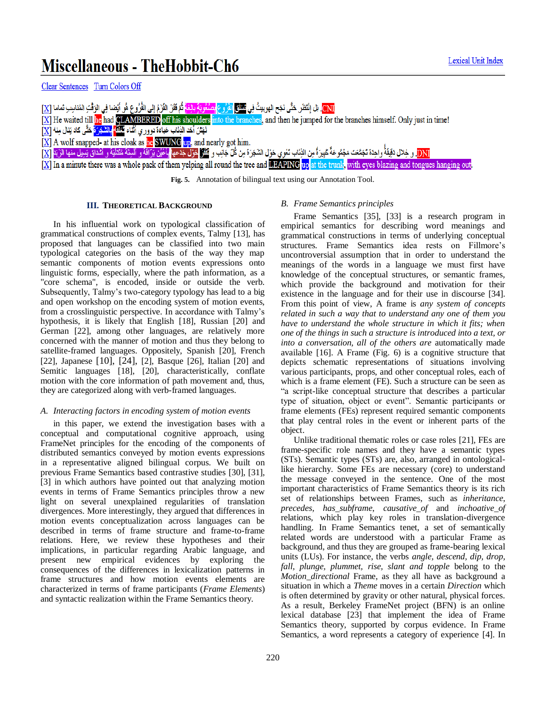# Miscellaneous - TheHobbit-Ch6

CNI]. بْل إِنْتَظْر حَتَّى نَجَح الهوبيتُ فِي <mark>نَطَاعِ الأروع بِمَتْعَوِيَةٍ بِالِغَا</mark> ثُمّ فَفَرَ الفَرْمُ إلى الفُرُوع هُو أيْضا فِي الوَقْتِ المُناسِبِ تَماما [X]

- $[X]$  He waited till he had CLAMBERED off his shoulders into the branches, and then he jumped for the branches himself. Only just in time!
- نَهَشَ أَحَد الذِئابِ عَبَّاءَةَ دوور ي أَثْنَاءَ <sup>16</sup>12 <mark>بِالشَّجْرَةَ</mark> حَتَّى كاد نِنال مِنه  $\boxed{\textbf{X}}$
- $[\underline{X}]$  A wolf snapped- at his cloak as he SWUNG up, and nearly got him.
- DNI و خِلال دَقِيقَةً واحِدَة تَجَمَّعَت مَجْمُوعَةً عَبِيرَةً مِن الذِئاب تَعْوي حَوْل الشَجَرَة مِن كُلِّ جَانِب و كَلَّلٌ كَتِلْب و عَلَي حَوْل الشَجَرَة مِن كُلِّ جَانِب و كَلَّلٌ كُلِّ مِنْ كُلِّ مِنْ كُلِّ مِنْ الشَ

[X] In a minute there was a whole pack of them yelping all round the tree and **DEAPING** up at the trunk, with eyes blazing and tongues hanging out.

**Fig. 5.** Annotation of bilingual text using our Annotation Tool.

## **III. THEORETICAL BACKGROUND**

In his influential work on typological classification of grammatical constructions of complex events, Talmy [13], has proposed that languages can be classified into two main typological categories on the basis of the way they map semantic components of motion events expressions onto linguistic forms, especially, where the path information, as a "core schema", is encoded, inside or outside the verb. Subsequently, Talmy's two-category typology has lead to a big and open workshop on the encoding system of motion events, from a crosslinguistic perspective. In accordance with Talmy"s hypothesis, it is likely that English [18], Russian [20] and German [22], among other languages, are relatively more concerned with the manner of motion and thus they belong to satellite-framed languages. Oppositely, Spanish [20], French [22], Japanese [10], [24], [2], Basque [26], Italian [20] and Semitic languages [18], [20], characteristically, conflate motion with the core information of path movement and, thus, they are categorized along with verb-framed languages.

## *A. Interacting factors in encoding system of motion events*

in this paper, we extend the investigation bases with a conceptual and computational cognitive approach, using FrameNet principles for the encoding of the components of distributed semantics conveyed by motion events expressions in a representative aligned bilingual corpus. We built on previous Frame Semantics based contrastive studies [30], [31], [3] in which authors have pointed out that analyzing motion events in terms of Frame Semantics principles throw a new light on several unexplained regularities of translation divergences. More interestingly, they argued that differences in motion events conceptualization across languages can be described in terms of frame structure and frame-to-frame relations. Here, we review these hypotheses and their implications, in particular regarding Arabic language, and present new empirical evidences by exploring the consequences of the differences in lexicalization patterns in frame structures and how motion events elements are characterized in terms of frame participants (*Frame Elements*) and syntactic realization within the Frame Semantics theory.

# *B. Frame Semantics principles*

Frame Semantics [35], [33] is a research program in empirical semantics for describing word meanings and grammatical constructions in terms of underlying conceptual structures. Frame Semantics idea rests on Fillmore"s uncontroversial assumption that in order to understand the meanings of the words in a language we must first have knowledge of the conceptual structures, or semantic frames, which provide the background and motivation for their existence in the language and for their use in discourse [34]. From this point of view, A frame is *any system of concepts related in such a way that to understand any one of them you have to understand the whole structure in which it fits; when one of the things in such a structure is introduced into a text, or into a conversation, all of the others are* automatically made available [16]. A Frame (Fig. 6) is a cognitive structure that depicts schematic representations of situations involving various participants, props, and other conceptual roles, each of which is a frame element (FE). Such a structure can be seen as "a script-like conceptual structure that describes a particular type of situation, object or event". Semantic participants or frame elements (FEs) represent required semantic components that play central roles in the event or inherent parts of the object.

Unlike traditional thematic roles or case roles [21], FEs are frame-specific role names and they have a semantic types (STs). Semantic types (STs) are, also, arranged in ontologicallike hierarchy. Some FEs are necessary (core) to understand the message conveyed in the sentence. One of the most important characteristics of Frame Semantics theory is its rich set of relationships between Frames, such as *inheritance*, *precedes, has\_subframe*, *causative\_of* and *inchoative\_of* relations, which play key roles in translation-divergence handling. In Frame Semantics tenet, a set of semantically related words are understood with a particular Frame as background, and thus they are grouped as frame-bearing lexical units (LUs). For instance, the verbs *angle, descend, dip, drop, fall, plunge, plummet, rise, slant and topple* belong to the *Motion\_directional* Frame, as they all have as background a situation in which a *Theme* moves in a certain *Direction* which is often determined by gravity or other natural, physical forces. As a result, Berkeley FrameNet project (BFN) is an online lexical database [23] that implement the idea of Frame Semantics theory, supported by corpus evidence. In Frame Semantics, a word represents a category of experience [4]. In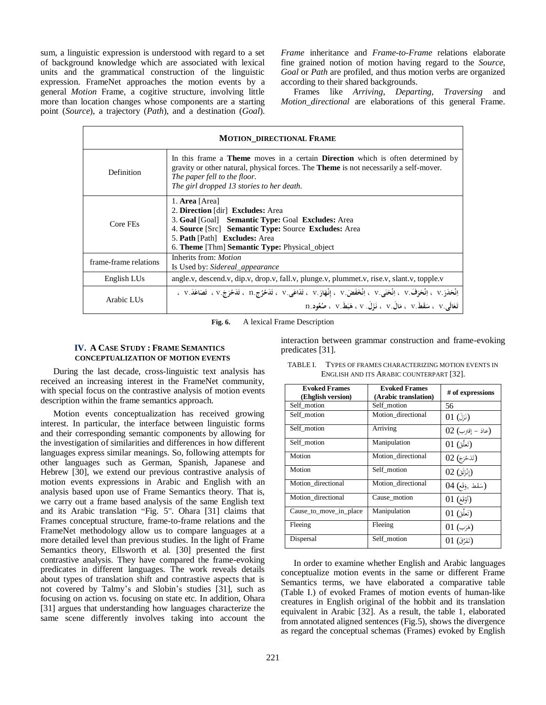sum, a linguistic expression is understood with regard to a set of background knowledge which are associated with lexical units and the grammatical construction of the linguistic expression. FrameNet approaches the motion events by a general *Motion* Frame, a cogitive structure, involving little more than location changes whose components are a starting point (*Source*), a trajectory (*Path*), and a destination (*Goal*).

*Frame* inheritance and *Frame*-*to*-*Frame* relations elaborate fine grained notion of motion having regard to the *Source*, *Goal* or *Path* are profiled, and thus motion verbs are organized according to their shared backgrounds.

Frames like *Arriving*, *Departing*, *Traversing* and *Motion\_directional* are elaborations of this general Frame.

| <b>MOTION DIRECTIONAL FRAME</b> |                                                                                                                                                                                                                                                                            |  |
|---------------------------------|----------------------------------------------------------------------------------------------------------------------------------------------------------------------------------------------------------------------------------------------------------------------------|--|
| Definition                      | In this frame a <b>Theme</b> moves in a certain <b>Direction</b> which is often determined by<br>gravity or other natural, physical forces. The <b>Theme</b> is not necessarily a self-mover.<br>The paper fell to the floor.<br>The girl dropped 13 stories to her death. |  |
| Core FEs                        | 1. Area [Area]<br>2. Direction [dir] Excludes: Area<br>3. Goal [Goal] Semantic Type: Goal Excludes: Area<br>4. Source [Src] Semantic Type: Source Excludes: Area<br>5. <b>Path</b> [Path] <b>Excludes:</b> Area<br>6. Theme [Thm] Semantic Type: Physical_object           |  |
| frame-frame relations           | Inherits from: Motion<br>Is Used by: Sidereal_appearance                                                                                                                                                                                                                   |  |
| English LUs                     | angle.v, descend.v, dip.v, drop.v, fall.v, plunge.v, plummet.v, rise.v, slant.v, topple.v                                                                                                                                                                                  |  |
| Arabic LUs                      | إِنْحَلَوَ. V ، إِنْحَرَفَ. V ، إِنْحَنَى. V ، إِنْخَفَضَ. V ، إِنْهَارَ. V ، تَلَاعَى. V ، تَلَاحُرُج. D ، تَلَاحْرَجَ. V ، تَصَاعَلَ. V ،<br>$\bf{n}.$ تَعَالَىٰ $\bf{v}$ ، سَقَطَ $\bf{v}$ ، مَالَ $\bf{v}$ ، نَزَلَ. $\bf{v}$ ، هَبَطَ. $\bf{v}$ ، صُعُود              |  |

**Fig. 6.** A lexical Frame Description

# **IV. A CASE STUDY : FRAME SEMANTICS CONCEPTUALIZATION OF MOTION EVENTS**

During the last decade, cross-linguistic text analysis has received an increasing interest in the FrameNet community, with special focus on the contrastive analysis of motion events description within the frame semantics approach.

Motion events conceptualization has received growing interest. In particular, the interface between linguistic forms and their corresponding semantic components by allowing for the investigation of similarities and differences in how different languages express similar meanings. So, following attempts for other languages such as German, Spanish, Japanese and Hebrew [30], we extend our previous contrastive analysis of motion events expressions in Arabic and English with an analysis based upon use of Frame Semantics theory. That is, we carry out a frame based analysis of the same English text and its Arabic translation "Fig. 5". Ohara [31] claims that Frames conceptual structure, frame-to-frame relations and the FrameNet methodology allow us to compare languages at a more detailed level than previous studies. In the light of Frame Semantics theory, Ellsworth et al. [30] presented the first contrastive analysis. They have compared the frame-evoking predicates in different languages. The work reveals details about types of translation shift and contrastive aspects that is not covered by Talmy"s and Slobin"s studies [31], such as focusing on action vs. focusing on state etc. In addition, Ohara [31] argues that understanding how languages characterize the same scene differently involves taking into account the

interaction between grammar construction and frame-evoking predicates [31].

| <b>Evoked Frames</b><br>(Ehglish version) | <b>Evoked Frames</b><br>(Arabic translation) | # of expressions            |
|-------------------------------------------|----------------------------------------------|-----------------------------|
| Self motion                               | Self motion                                  | 56                          |
| Self motion                               | Motion directional                           | $(01)$ (نَزَلَ)             |
| Self motion                               | Arriving                                     | (عادَ – إقترب) 02           |
| Self motion                               | Manipulation                                 | (تَعَلَّقَ) 01              |
| Motion                                    | Motion directional                           | (تَدَحْرَجَ) 02             |
| Motion                                    | Self motion                                  | (إِنْزَلَقَ) 02             |
| Motion directional                        | Motion directional                           | $04$ (سَقَط, وَقَع)         |
| Motion directional                        | Cause motion                                 | $(01 \; \text{\tiny (14)})$ |
| Cause_to_move_in_place                    | Manipulation                                 | (تَعَلَّقَ) 01              |
| Fleeing                                   | Fleeing                                      | $01$ (هَرَب)                |
| Dispersal                                 | Self_motion                                  | (تَفَرَّقَ) 01              |

TABLE I. TYPES OF FRAMES CHARACTERIZING MOTION EVENTS IN ENGLISH AND ITS ARABIC COUNTERPART [32].

In order to examine whether English and Arabic languages conceptualize motion events in the same or different Frame Semantics terms, we have elaborated a comparative table (Table I.) of evoked Frames of motion events of human-like creatures in English original of the hobbit and its translation equivalent in Arabic [32]. As a result, the table 1, elaborated from annotated aligned sentences (Fig.5), shows the divergence as regard the conceptual schemas (Frames) evoked by English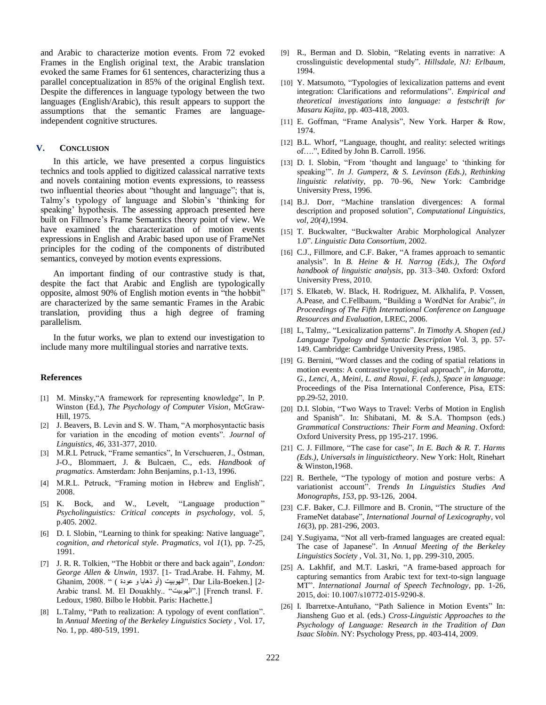and Arabic to characterize motion events. From 72 evoked Frames in the English original text, the Arabic translation evoked the same Frames for 61 sentences, characterizing thus a parallel conceptualization in 85% of the original English text. Despite the differences in language typology between the two languages (English/Arabic), this result appears to support the assumptions that the semantic Frames are languageindependent cognitive structures.

#### **V. CONCLUSION**

In this article, we have presented a corpus linguistics technics and tools applied to digitized calassical narrative texts and novels containing motion events expressions, to reassess two influential theories about "thought and language"; that is, Talmy"s typology of language and Slobin"s "thinking for speaking" hypothesis. The assessing approach presented here built on Fillmore"s Frame Semantics theory point of view. We have examined the characterization of motion events expressions in English and Arabic based upon use of FrameNet principles for the coding of the components of distributed semantics, conveyed by motion events expressions.

An important finding of our contrastive study is that, despite the fact that Arabic and English are typologically opposite, almost 90% of English motion events in "the hobbit" are characterized by the same semantic Frames in the Arabic translation, providing thus a high degree of framing parallelism.

In the futur works, we plan to extend our investigation to include many more multilingual stories and narrative texts.

#### **References**

- [1] M. Minsky,"A framework for representing knowledge", In P. Winston (Ed.), *The Psychology of Computer Vision*, McGraw-Hill, 1975.
- [2] J. Beavers, B. Levin and S. W. Tham, "A morphosyntactic basis for variation in the encoding of motion events". *Journal of Linguistics*, *46*, 331-377, 2010.
- [3] M.R.L Petruck, "Frame semantics", In Verschueren, J., Östman, J-O., Blommaert, J. & Bulcaen, C., eds. *Handbook of pragmatics*. Amsterdam: John Benjamins, p.1-13, 1996.
- [4] M.R.L. Petruck, "Framing motion in Hebrew and English", 2008.
- [5] K. Bock, and W., Levelt, "Language production " *Psycholinguistics: Critical concepts in psychology*, vol. *5*, p.405. 2002.
- [6] D. I. Slobin, "Learning to think for speaking: Native language", *cognition*, *and rhetorical style*. *Pragmatics*, vol *1*(1), pp. 7-25, 1991.
- [7] J. R. R. Tolkien, "The Hobbit or there and back again", *London: George Allen & Unwin,* 1937. [1- Trad.Arabe. H. Fahmy, M. 2-] [.Boeken-Lila Dar ."الهىبيت (أو ذهابا و عىدة ) " 2008. ,Ghanim Arabic transl. M. El Douakhly.. "الهىبيت".] [French transl. F. Ledoux, 1980. Bilbo le Hobbit. Paris: Hachette.]
- [8] L.Talmy, "Path to realization: A typology of event conflation". In *Annual Meeting of the Berkeley Linguistics Society* , Vol. 17, No. 1, pp. 480-519, 1991.
- [9] R., Berman and D. Slobin, "Relating events in narrative: A crosslinguistic developmental study". *Hillsdale, NJ: Erlbaum,*  1994.
- [10] Y. Matsumoto, "Typologies of lexicalization patterns and event integration: Clarifications and reformulations". *Empirical and theoretical investigations into language: a festschrift for Masaru Kajita*, pp. 403-418, 2003.
- [11] E. Goffman, "Frame Analysis", New York. Harper & Row, 1974.
- [12] B.L. Whorf, "Language, thought, and reality: selected writings of….", Edited by John B. Carroll. 1956.
- [13] D. I. Slobin, "From 'thought and language' to 'thinking for speaking"". *In J. Gumperz, & S. Levinson (Eds.), Rethinking linguistic relativity*, pp. 70–96, New York: Cambridge University Press, 1996.
- [14] B.J. Dorr, "Machine translation divergences: A formal description and proposed solution", *Computational Linguistics, vol, 20(4),*1994.
- [15] T. Buckwalter, "Buckwalter Arabic Morphological Analyzer 1.0". *Linguistic Data Consortium*, 2002.
- [16] C.J., Fillmore, and C.F. Baker, "A frames approach to semantic analysis". In *B. Heine & H. Narrog (Eds.), The Oxford handbook of linguistic analysis,* pp. 313–340. Oxford: Oxford University Press, 2010.
- [17] S. Elkateb, W. Black, H. Rodriguez, M. Alkhalifa, P. Vossen, A.Pease, and C.Fellbaum, "Building a WordNet for Arabic", *in Proceedings of The Fifth International Conference on Language Resources and Evaluation*, LREC, 2006.
- [18] L, Talmy,. "Lexicalization patterns". *In Timothy A. Shopen (ed.) Language Typology and Syntactic Description* Vol. 3, pp. 57- 149. Cambridge: Cambridge University Press, 1985.
- [19] G. Bernini, "Word classes and the coding of spatial relations in motion events: A contrastive typological approach", *in Marotta, G., Lenci, A., Meini, L. and Rovai, F. (eds.), Space in language*: Proceedings of the Pisa International Conference, Pisa, ETS: pp.29-52, 2010.
- [20] D.I. Slobin, "Two Ways to Travel: Verbs of Motion in English and Spanish". In: Shibatani, M. & S.A. Thompson (eds.) *Grammatical Constructions: Their Form and Meaning*. Oxford: Oxford University Press, pp 195-217. 1996.
- [21] C. J. Fillmore, "The case for case", *In E. Bach & R. T. Harms (Eds.), Universals in linguistictheory*. New York: Holt, Rinehart & Winston,1968.
- [22] R. Berthele, "The typology of motion and posture verbs: A variationist account". *Trends In Linguistics Studies And Monographs*, *153*, pp. 93-126, 2004.
- [23] C.F. Baker, C.J. Fillmore and B. Cronin, "The structure of the FrameNet database", *International Journal of Lexicography*, vol *16*(3), pp. 281-296, 2003.
- [24] Y.Sugiyama, "Not all verb-framed languages are created equal: The case of Japanese". In *Annual Meeting of the Berkeley Linguistics Society* , Vol. 31, No. 1, pp. 299-310, 2005.
- [25] A. Lakhfif, and M.T. Laskri, "A frame-based approach for capturing semantics from Arabic text for text-to-sign language MT". *International Journal of Speech Technology*, pp. 1-26, 2015, doi: 10.1007/s10772-015-9290-8.
- [26] I. Ibarretxe-Antuñano, "Path Salience in Motion Events" In: Jiansheng Guo et al. (eds.) *Cross-Linguistic Approaches to the Psychology of Language: Research in the Tradition of Dan Isaac Slobin*. NY: Psychology Press, pp. 403-414, 2009.